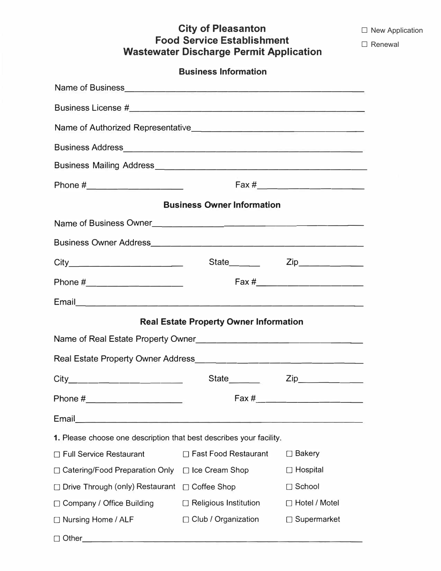**□** New Application

□ Renewal

## **City of Pleasanton Food Service Establishment Wastewater Discharge Permit Application**

| <b>Business Information</b>                                                                                                   |                                               |                             |  |  |  |
|-------------------------------------------------------------------------------------------------------------------------------|-----------------------------------------------|-----------------------------|--|--|--|
|                                                                                                                               |                                               |                             |  |  |  |
|                                                                                                                               |                                               |                             |  |  |  |
|                                                                                                                               |                                               |                             |  |  |  |
|                                                                                                                               |                                               |                             |  |  |  |
|                                                                                                                               |                                               |                             |  |  |  |
|                                                                                                                               |                                               |                             |  |  |  |
| <b>Business Owner Information</b>                                                                                             |                                               |                             |  |  |  |
| Name of Business Owner                                                                                                        |                                               |                             |  |  |  |
|                                                                                                                               |                                               |                             |  |  |  |
|                                                                                                                               |                                               |                             |  |  |  |
| Phone #_______________________                                                                                                |                                               | Fax #______________________ |  |  |  |
|                                                                                                                               |                                               |                             |  |  |  |
|                                                                                                                               | <b>Real Estate Property Owner Information</b> |                             |  |  |  |
|                                                                                                                               |                                               |                             |  |  |  |
|                                                                                                                               |                                               |                             |  |  |  |
|                                                                                                                               |                                               |                             |  |  |  |
|                                                                                                                               |                                               |                             |  |  |  |
| Email<br><u> 1980 - Johann John Stone, mars eta bainar eta baina eta baina eta baina eta baina eta baina eta baina eta ba</u> |                                               |                             |  |  |  |
| 1. Please choose one description that best describes your facility.                                                           |                                               |                             |  |  |  |
| □ Full Service Restaurant                                                                                                     | □ Fast Food Restaurant                        | $\Box$ Bakery               |  |  |  |
| □ Catering/Food Preparation Only                                                                                              | □ Ice Cream Shop                              | $\Box$ Hospital             |  |  |  |
| □ Drive Through (only) Restaurant □ Coffee Shop                                                                               |                                               | □ School                    |  |  |  |
| □ Company / Office Building                                                                                                   | $\Box$ Religious Institution                  | □ Hotel / Motel             |  |  |  |
| □ Nursing Home / ALF                                                                                                          | $\Box$ Club / Organization                    | □ Supermarket               |  |  |  |

□ Other \_\_\_\_\_\_\_\_\_\_\_\_\_\_\_\_\_\_\_\_\_\_\_\_\_\_ \_